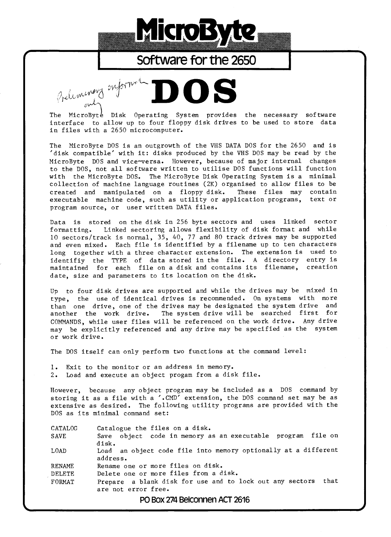

## **Software for the 2650**

Preliment onformé The MicroByte Disk Operating System provides the necessary software interface to allow up to four floppy disk drives to be used to store data in files with a 2650 microcomputer.

The MicroByte DOS is an outgrowth of the VHS DATA DOS for the 2650 and is 'disk compatible' with it: disks produced by the VHS DOS may be read by the MicroByte DOS and vice—versa. However, because of major internal changes to the DOS, not all software written to utilise DOS functions will function with the MicroByte DOS. The MicroByte Disk Operating System is a minimal collection of machine language routines (2K) organised to allow files to be created and manipulated on a floppy disk. These files may contain executable machine code, such as utility or application programs, text or program source, or user written DATA files.

Data is stored on the disk in 256 byte sectors and uses linked sector formatting. Linked sectoring allows flexibility of disk format and while 10 sectors/track is normal, 35, 40, 77 and 80 track drives may be supported and even mixed. Each file is identified by a filename up to ten characters long together with a three character extension. The extension is used to identifiy the TYPE of data stored in the file. A directory entry is<br>maintained for each file on a disk and contains its filename, creation maintained for each file on a disk and contains its filename, date, size and parameters to its location on the disk.

Up to four disk drives are supported and while the drives may be mixed in type, the use of identical drives is recommended. On systems with more than one drive, one of the drives may be designated the system drive and another the work drive. The system drive will be searched first for COMMANDS, while user files will be referenced on the work drive. Any drive may be explicitly referenced and any drive may be specified as the system or work drive.

The DOS itself can only perform two functions at the command level:

1. Exit to the monitor or an address in memory.<br>2. Load and execute an object progam from a dis Load and execute an object progam from a disk file.

However, because any object program may be included as a DOS command by storing it as a file with a '.CMD' extension, the DOS command set may be as extensive as desired. The following utility programs are provided with the DOS as its minimal command set:

CATALOG Catalogue the files on a disk. SAVE Save object code in memory as an executable program file on disk. LOAD Load an object code file into memory optionally at a different address. RENAME Rename one or more files on disk. DELETE Delete one or more files from a disk. FORMAT Prepare a blank disk for use and to lock out any sectors that are not error free.

PO Box 274 Belconnen ACT 2616